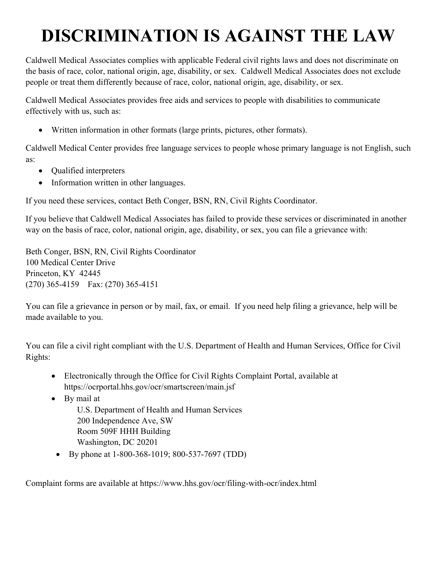## **DISCRIMINATION IS AGAINST THE LAW**

Caldwell Medical Associates complies with applicable Federal civil rights laws and does not discriminate on the basis of race, color, national origin, age, disability, or sex. Caldwell Medical Associates does not exclude people or treat them differently because of race, color, national origin, age, disability, or sex.

Caldwell Medical Associates provides free aids and services to people with disabilities to communicate effectively with us, such as:

• Written information in other formats (large prints, pictures, other formats).

Caldwell Medical Center provides free language services to people whose primary language is not English, such as:

- Qualified interpreters
- Information written in other languages.

If you need these services, contact Beth Conger, BSN, RN, Civil Rights Coordinator.

If you believe that Caldwell Medical Associates has failed to provide these services or discriminated in another way on the basis of race, color, national origin, age, disability, or sex, you can file a grievance with:

Beth Conger, BSN, RN, Civil Rights Coordinator 100 Medical Center Drive Princeton, KY 42445 (270) 365-4159 Fax: (270) 365-4151

You can file a grievance in person or by mail, fax, or email. If you need help filing a grievance, help will be made available to you.

You can file a civil right compliant with the U.S. Department of Health and Human Services, Office for Civil Rights:

- Electronically through the Office for Civil Rights Complaint Portal, available at https://ocrportal.hhs.gov/ocr/smartscreen/main.jsf
- By mail at

U.S. Department of Health and Human Services 200 Independence Ave, SW Room 509F HHH Building Washington, DC 20201

• By phone at 1-800-368-1019; 800-537-7697 (TDD)

Complaint forms are available at https://www.hhs.gov/ocr/filing-with-ocr/index.html